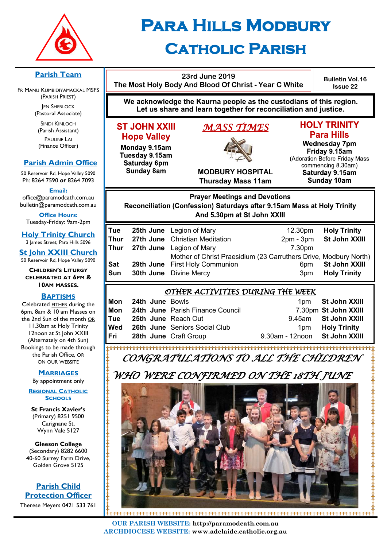

## **Para Hills Modbury Catholic Parish**

**23rd June 2019 The Most Holy Body And Blood Of Christ - Year C White**

**Bulletin Vol.16 Issue 22**

**We acknowledge the Kaurna people as the custodians of this region. Let us share and learn together for reconciliation and justice.**

#### **ST JOHN XXIII Hope Valley**

Monday 9.15am Tuesday 9.15am Saturday 6pm **Sunday 8am** 

## *MASS TIMES*



#### **HOLY TRINITY Para Hills**

**Wednesday 7pm** Friday 9.15am (Adoration Before Friday Mass commencing 8.30am) Saturday 9.15am **Sunday 10am** 

**MODBURY HOSPITAL Thursday Mass 11am**

#### **Prayer Meetings and Devotions** Reconciliation (Confession) Saturdays after 9.15am Mass at Holy Trinity And 5.30pm at St John XXIII

| Tue        | <b>25th June</b> Legion of Mary                                  | 12.30pm         | <b>Holy Trinity</b> |
|------------|------------------------------------------------------------------|-----------------|---------------------|
| Thur       | 27th June Christian Meditation                                   | $2pm - 3pm$     | St John XXIII       |
| Thur       | <b>27th June</b> Legion of Mary                                  | 7.30pm          |                     |
|            | Mother of Christ Praesidium (23 Carruthers Drive, Modbury North) |                 |                     |
| <b>Sat</b> | <b>29th June</b> First Holy Communion                            | 6 <sub>pm</sub> | St John XXIII       |
| Sun        | <b>30th June</b> Divine Mercy                                    | 3 <sub>pm</sub> | <b>Holy Trinity</b> |
|            |                                                                  |                 |                     |

#### *OTHER ACTIVITIES DURING THE WEEK*

| Mon | <b>24th June Bowls</b>     |                                      |                               | 1pm St John XXIII    |
|-----|----------------------------|--------------------------------------|-------------------------------|----------------------|
| Mon |                            | 24th June Parish Finance Council     |                               | 7.30pm St John XXIII |
| Tue | <b>25th June Reach Out</b> |                                      |                               | 9.45am St John XXIII |
| Wed |                            | <b>26th June</b> Seniors Social Club | 1 <sub>pm</sub>               | <b>Holy Trinity</b>  |
| Fri |                            | <b>28th June Craft Group</b>         | 9.30am - 12noon St John XXIII |                      |

*CONGRATULATIONS TO ALL THE CHILDREN* 

### *WHO WERE CONFIRMED ON THE 18TH JUNE*



**OUR PARISH WEBSITE: http://paramodcath.com.au ARCHDIOCESE WEBSITE: www.adelaide.catholic.org.au**

**Parish Team** 

FR MANU KUMBIDIYAMACKAL MSFS (PARISH PRIEST) **JEN SHERLOCK** 

(Pastoral Associate)

SINDI KINLOCH (Parish Assistant) PAULINE LAI (Finance Officer)

#### **Parish Admin Office**

50 Reservoir Rd, Hope Valley 5090 Ph: 8264 7590 *or* 8264 7093

**Email:** 

office@paramodcath.com.au bulletin@paramodcath.com.au

**Office Hours:**  Tuesday-Friday: 9am-2pm

**Holy Trinity Church** 3 James Street, Para Hills 5096

**St John XXIII Church** 50 Reservoir Rd, Hope Valley 5090

**CHILDREN'S LITURGY CELEBRATED AT 6PM & 10AM MASSES.**

#### **BAPTISMS**

Celebrated EITHER during the 6pm, 8am & 10 am Masses on the 2nd Sun of the month OR 11.30am at Holy Trinity 12noon at St John XXIII (Alternately on 4th Sun) Bookings to be made through the Parish Office, OR ON OUR WEBSITE

#### **MARRIAGES**

By appointment only

**REGIONAL CATHOLIC SCHOOLS**

**St Francis Xavier's**  (Primary) 8251 9500 Carignane St, Wynn Vale 5127

**Gleeson College**  (Secondary) 8282 6600 40-60 Surrey Farm Drive, Golden Grove 5125

**Parish Child Protection Officer** Therese Meyers 0421 533 761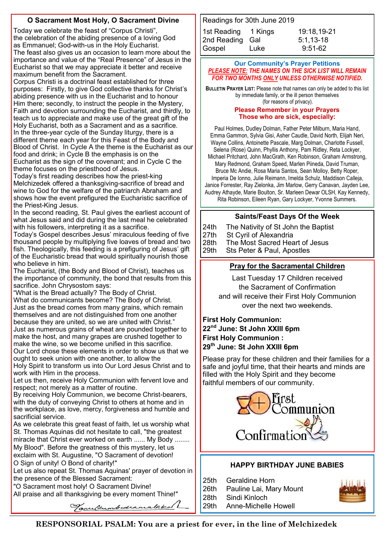#### **O Sacrament Most Holy, O Sacrament Divine**

Today we celebrate the feast of "Corpus Christi", the celebration of the abiding presence of a loving God as Emmanuel; God-with-us in the Holy Eucharist.

The feast also gives us an occasion to learn more about the importance and value of the "Real Presence" of Jesus in the Eucharist so that we may appreciate it better and receive maximum benefit from the Sacrament.

Corpus Christi is a doctrinal feast established for three purposes: Firstly, to give God collective thanks for Christ's abiding presence with us in the Eucharist and to honour Him there; secondly, to instruct the people in the Mystery, Faith and devotion surrounding the Eucharist, and thirdly, to teach us to appreciate and make use of the great gift of the Holy Eucharist, both as a Sacrament and as a sacrifice. In the three-year cycle of the Sunday liturgy, there is a different theme each year for this Feast of the Body and Blood of Christ. In Cycle A the theme is the Eucharist as our food and drink; in Cycle B the emphasis is on the Eucharist as the sign of the covenant; and in Cycle C the theme focuses on the priesthood of Jesus.

Today's first reading describes how the priest-king Melchizedek offered a thanksgiving-sacrifice of bread and wine to God for the welfare of the patriarch Abraham and shows how the event prefigured the Eucharistic sacrifice of the Priest-King Jesus.

In the second reading, St. Paul gives the earliest account of what Jesus said and did during the last meal he celebrated with his followers, interpreting it as a sacrifice.

Today's Gospel describes Jesus' miraculous feeding of five thousand people by multiplying five loaves of bread and two fish. Theologically, this feeding is a prefiguring of Jesus' gift of the Eucharistic bread that would spiritually nourish those who believe in him.

The Eucharist, (the Body and Blood of Christ), teaches us the importance of community, the bond that results from this sacrifice. John Chrysostom says:

"What is the Bread actually? The Body of Christ. What do communicants become? The Body of Christ. Just as the bread comes from many grains, which remain themselves and are not distinguished from one another because they are united, so we are united with Christ." Just as numerous grains of wheat are pounded together to make the host, and many grapes are crushed together to make the wine, so we become unified in this sacrifice. Our Lord chose these elements in order to show us that we

ought to seek union with one another, to allow the Holy Spirit to transform us into Our Lord Jesus Christ and to work with Him in the process.

Let us then, receive Holy Communion with fervent love and respect; not merely as a matter of routine.

By receiving Holy Communion, we become Christ-bearers, with the duty of conveying Christ to others at home and in the workplace, as love, mercy, forgiveness and humble and sacrificial service.

As we celebrate this great feast of faith, let us worship what St. Thomas Aquinas did not hesitate to call, "the greatest miracle that Christ ever worked on earth ...... My Body ........

My Blood". Before the greatness of this mystery, let us exclaim with St. Augustine, "O Sacrament of devotion! O Sign of unity! O Bond of charity!"

Let us also repeat St. Thomas Aquinas' prayer of devotion in the presence of the Blessed Sacrament:

Tanultumbedramalaked

"O Sacrament most holy! O Sacrament Divine!

All praise and all thanksgiving be every moment Thine!"

| Readings for 30th June 2019 |      |             |  |  |  |  |
|-----------------------------|------|-------------|--|--|--|--|
| 1st Reading 1 Kings         |      | 19:18.19-21 |  |  |  |  |
| 2nd Reading Gal             |      | $5:1,13-18$ |  |  |  |  |
| Gospel                      | Luke | $9:51-62$   |  |  |  |  |

#### **Our Community's Prayer Petitions**  *PLEASE NOTE: THE NAMES ON THE SICK LIST WILL REMAIN FOR TWO MONTHS ONLY UNLESS OTHERWISE NOTIFIED.*

**BULLETIN PRAYER LIST:** Please note that names can only be added to this list by immediate family, or the ill person themselves (for reasons of privacy).

#### **Please Remember in your Prayers**

**Those who are sick, especially:** 

Paul Holmes, Dudley Dolman, Father Peter Milburn, Maria Hand, Emma Gammon, Sylvia Gisi, Asher Caudle, David North, Elijah Neri, Wayne Collins, Antoinette Pascale, Marg Dolman, Charlotte Fussell, Selena (Rose) Quinn, Phyllis Anthony, Pam Ridley, Reta Lockyer, Michael Pritchard, John MacGrath, Ken Robinson, Graham Armstrong, Mary Redmond, Graham Speed, Marlen Piineda, David Truman, Bruce Mc Andie, Rosa Maria Santos, Sean Molloy, Betty Roper, Imperia De Ionno, Julie Reimann, Imelda Schulz, Maddison Calleja, Janice Forrester, Ray Zielonka, Jim Marlow, Gerry Canavan, Jayden Lee, Audrey Athayde, Marie Boulton, Sr. Marleen Dewar OLSH, Kay Kennedy, Rita Robinson, Eileen Ryan, Gary Lockyer, Yvonne Summers.

#### **Saints/Feast Days Of the Week**

24th The Nativity of St John the Baptist 27th St Cyril of Alexandria<br>28th The Most Sacred Hea 28th The Most Sacred Heart of Jesus<br>29th Sts Peter & Paul, Apostles Sts Peter & Paul, Apostles

#### **Pray for the Sacramental Children**

Last Tuesday 17 Children received the Sacrament of Confirmation and will receive their First Holy Communion over the next two weekends.

#### **First Holy Communion: 22nd June: St John XXIII 6pm First Holy Communion : 29th June: St John XXIII 6pm**

Please pray for these children and their families for a safe and joyful time, that their hearts and minds are filled with the Holy Spirit and they become faithful members of our community.



#### **HAPPY BIRTHDAY JUNE BABIES**

25th Geraldine Horn 26th Pauline Lai, Mary Mount 28th Sindi Kinloch 29th Anne-Michelle Howell

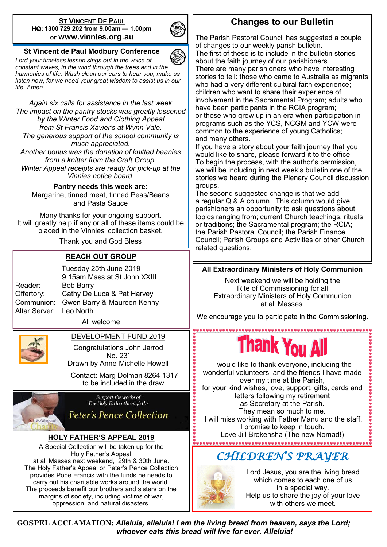#### **ST VINCENT DE PAUL HQ: 1300 729 202 from 9.00am — 1.00pm or www.vinnies.org.au**



#### **St Vincent de Paul Modbury Conference**

*Lord your timeless lesson sings out in the voice of constant waves, in the wind through the trees and in the harmonies of life. Wash clean our ears to hear you, make us listen now, for we need your great wisdom to assist us in our life. Amen.*

*Again six calls for assistance in the last week. The impact on the pantry stocks was greatly lessened by the Winter Food and Clothing Appeal from St Francis Xavier's at Wynn Vale. The generous support of the school community is much appreciated.*

*Another bonus was the donation of knitted beanies from a knitter from the Craft Group.* 

*Winter Appeal receipts are ready for pick-up at the Vinnies notice board.*

**Pantry needs this week are:**  Margarine, tinned meat, tinned Peas/Beans and Pasta Sauce

Many thanks for your ongoing support. It will greatly help if any or all of these items could be placed in the Vinnies' collection basket.

Thank you and God Bless

#### **REACH OUT GROUP**

Tuesday 25th June 2019 9.15am Mass at St John XXIII Reader: Bob Barry Offertory: Cathy De Luca & Pat Harvey Communion: Gwen Barry & Maureen Kenny Altar Server: Leo North

All welcome



DEVELOPMENT FUND 2019

Congratulations John Jarrod No. 23` Drawn by Anne-Michelle Howell

Contact: Marg Dolman 8264 1317 to be included in the draw.



Support the works of The Holy Father through the

**Peter's Pence Collection** 

#### **HOLY FATHER'S APPEAL 2019**

A Special Collection will be taken up for the Holy Father's Appeal at all Masses next weekend, 29th & 30th June. The Holy Father's Appeal or Peter's Pence Collection provides Pope Francis with the funds he needs to carry out his charitable works around the world. The proceeds benefit our brothers and sisters on the margins of society, including victims of war, oppression, and natural disasters.

#### **Changes to our Bulletin**

The Parish Pastoral Council has suggested a couple of changes to our weekly parish bulletin. The first of these is to include in the bulletin stories about the faith journey of our parishioners. There are many parishioners who have interesting stories to tell: those who came to Australia as migrants who had a very different cultural faith experience; children who want to share their experience of involvement in the Sacramental Program; adults who have been participants in the RCIA program; or those who grew up in an era when participation in programs such as the YCS, NCGM and YCW were common to the experience of young Catholics; and many others.

If you have a story about your faith journey that you would like to share, please forward it to the office. To begin the process, with the author's permission, we will be including in next week's bulletin one of the stories we heard during the Plenary Council discussion groups.

The second suggested change is that we add a regular Q & A column. This column would give parishioners an opportunity to ask questions about topics ranging from; current Church teachings, rituals or traditions; the Sacramental program; the RCIA; the Parish Pastoral Council; the Parish Finance Council; Parish Groups and Activities or other Church related questions.

#### **All Extraordinary Ministers of Holy Communion**

Next weekend we will be holding the Rite of Commissioning for all Extraordinary Ministers of Holy Communion at all Masses.

We encourage you to participate in the Commissioning.

# hank You A

I would like to thank everyone, including the wonderful volunteers, and the friends I have made over my time at the Parish, for your kind wishes, love, support, gifts, cards and letters following my retirement as Secretary at the Parish. They mean so much to me. I will miss working with Father Manu and the staff. I promise to keep in touch. Love Jill Brokensha (The new Nomad!)

## *CHILDREN'S PRAYER*



Lord Jesus, you are the living bread which comes to each one of us in a special way. Help us to share the joy of your love with others we meet.

**GOSPEL ACCLAMATION:** *Alleluia, alleluia! I am the living bread from heaven, says the Lord; whoever eats this bread will live for ever. Alleluia!*

,,,,,,,,,,,,,,,,,,,,,,,,,,